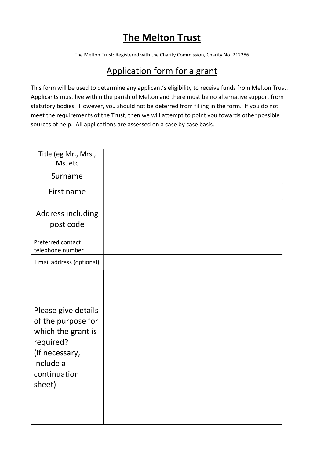## The Melton Trust

The Melton Trust: Registered with the Charity Commission, Charity No. 212286

## Application form for a grant

This form will be used to determine any applicant's eligibility to receive funds from Melton Trust. Applicants must live within the parish of Melton and there must be no alternative support from statutory bodies. However, you should not be deterred from filling in the form. If you do not meet the requirements of the Trust, then we will attempt to point you towards other possible sources of help. All applications are assessed on a case by case basis.

| Title (eg Mr., Mrs.,<br>Ms. etc                                                                                                       |  |
|---------------------------------------------------------------------------------------------------------------------------------------|--|
| Surname                                                                                                                               |  |
| First name                                                                                                                            |  |
| Address including<br>post code                                                                                                        |  |
| Preferred contact<br>telephone number                                                                                                 |  |
| Email address (optional)                                                                                                              |  |
| Please give details<br>of the purpose for<br>which the grant is<br>required?<br>(if necessary,<br>include a<br>continuation<br>sheet) |  |